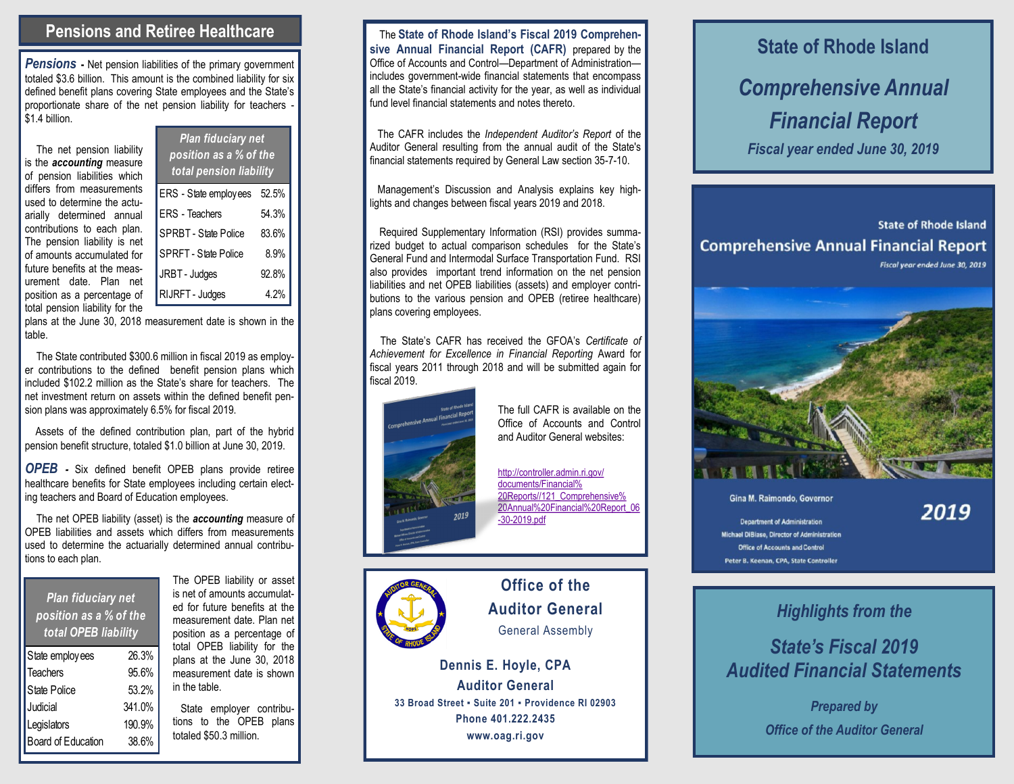#### **Pensions and Retiree Healthcare**

**Pensions** - Net pension liabilities of the primary government totaled \$3.6 billion. This amount is the combined liability for six defined benefit plans covering State employees and the State's proportionate share of the net pension liability for teachers \$1.4 billion.

> ERS - State employees 52.5% ERS - Teachers 54.3% SPRBT - State Police 83.6% SPRFT - State Police 8.9% JRBT - Judges 92.8% RIJRFT - Judges 4.2%

*Plan fiduciary net position as a % of the total pension liability*

The net pension liability is the *accounting* measure of pension liabilities which differs from measurements used to determine the actuarially determined annual contributions to each plan. The pension liability is net of amounts accumulated for future benefits at the measurement date. Plan net position as a percentage of total pension liability for the

| total pension hability for the                              |  |
|-------------------------------------------------------------|--|
| plans at the June 30, 2018 measurement date is shown in the |  |
| table.                                                      |  |

The State contributed \$300.6 million in fiscal 2019 as employer contributions to the defined benefit pension plans which included \$102.2 million as the State's share for teachers. The net investment return on assets within the defined benefit pension plans was approximately 6.5% for fiscal 2019.

Assets of the defined contribution plan, part of the hybrid pension benefit structure, totaled \$1.0 billion at June 30, 2019.

*OPEB -* Six defined benefit OPEB plans provide retiree healthcare benefits for State employees including certain electing teachers and Board of Education employees.

The net OPEB liability (asset) is the *accounting* measure of OPEB liabilities and assets which differs from measurements used to determine the actuarially determined annual contributions to each plan.

| <b>Plan fiduciary net</b> |
|---------------------------|
| position as a % of the    |
| total OPEB liability      |

| State employees    | 26.3%  |
|--------------------|--------|
| <b>Teachers</b>    | 95.6%  |
| State Police       | 53.2%  |
| Judicial           | 341.0% |
| Legislators        | 190.9% |
| Board of Education | 38.6%  |

The OPEB liability or asset is net of amounts accumulated for future benefits at the measurement date. Plan net position as a percentage of total OPEB liability for the plans at the June 30, 2018 measurement date is shown in the table.

 State employer contributions to the OPEB plans totaled \$50.3 million.

 The **State of Rhode Island's Fiscal 2019 Comprehensive Annual Financial Report (CAFR)** prepared by the Office of Accounts and Control—Department of Administration includes government-wide financial statements that encompass all the State's financial activity for the year, as well as individual fund level financial statements and notes thereto.

 The CAFR includes the *Independent Auditor's Report* of the Auditor General resulting from the annual audit of the State's financial statements required by General Law section 35-7-10.

Management's Discussion and Analysis explains key highlights and changes between fiscal years 2019 and 2018.

 Required Supplementary Information (RSI) provides summarized budget to actual comparison schedules for the State's General Fund and Intermodal Surface Transportation Fund. RSI also provides important trend information on the net pension liabilities and net OPEB liabilities (assets) and employer contributions to the various pension and OPEB (retiree healthcare) plans covering employees.

 The State's CAFR has received the GFOA's *Certificate of Achievement for Excellence in Financial Reporting* Award for fiscal years 2011 through 2018 and will be submitted again for fiscal 2019.



The full CAFR is available on the Office of Accounts and Control and Auditor General websites:

[http://controller.admin.ri.gov/](http://controller.admin.ri.gov/documents/Financial%20Reports/121_Comprehensive%20Annual%20Financial%20Report_06-30-2019.pdf) [documents/Financial%](http://controller.admin.ri.gov/documents/Financial%20Reports/121_Comprehensive%20Annual%20Financial%20Report_06-30-2019.pdf) [20Reports//121\\_Comprehensive%](http://controller.admin.ri.gov/documents/Financial%20Reports/121_Comprehensive%20Annual%20Financial%20Report_06-30-2019.pdf) [20Annual%20Financial%20Report\\_06](http://controller.admin.ri.gov/documents/Financial%20Reports/121_Comprehensive%20Annual%20Financial%20Report_06-30-2019.pdf) [-30-2019.pdf](http://controller.admin.ri.gov/documents/Financial%20Reports/121_Comprehensive%20Annual%20Financial%20Report_06-30-2019.pdf)



**Office of the Auditor General**  General Assembly

**Dennis E. Hoyle, CPA Auditor General 33 Broad Street ▪ Suite 201 ▪ Providence RI 02903 Phone 401.222.2435 www.oag.ri.gov** State employees 26.3% plans at the June 30, 2018<br>
Teachers 95.6% measurement date is shown<br>
State Police 53.2% in the table.<br>
Judicial 341.0% State employer contribu-<br>
Legislators 190.9% total of the Auditor General<br>
Legis

# **State of Rhode Island** *Comprehensive Annual Financial Report Fiscal year ended June 30, 2019*

**State of Rhode Island Comprehensive Annual Financial Report** Fiscal year ended June 30, 2019



Gina M. Raimondo, Governor

### 2019

**Department of Administration** Michael DiBiase, Director of Administration Office of Accounts and Control Peter B. Keenan, CPA, State Controller

## *Highlights from the*

## *State's Fiscal 2019 Audited Financial Statements*

*Prepared by*